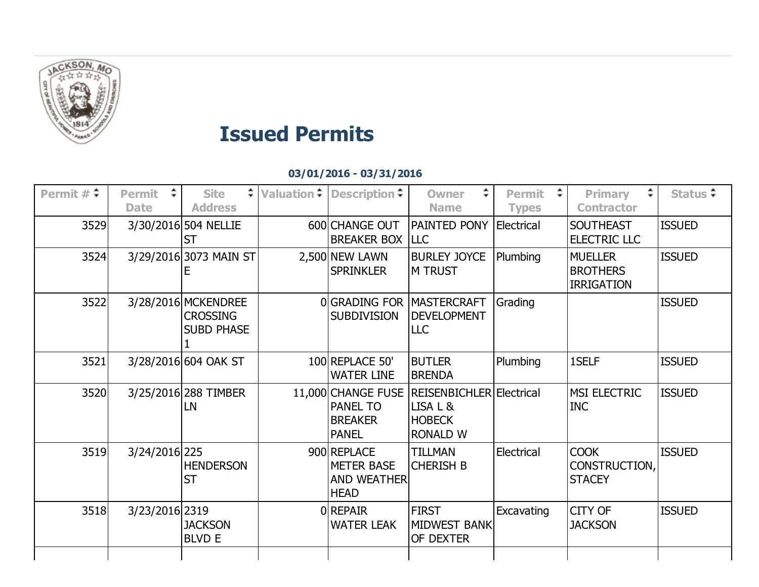

## Issued Permits

03/01/2016 03/31/2016

| Permit $\#$ $\div$ | <b>Permit</b><br><b>Date</b> | <b>Site</b><br><b>Address</b>                               | Valuation $\div$ Description $\div$                                   | ÷<br><b>Owner</b><br><b>Name</b>                                         | <b>Permit</b><br><b>Types</b> | ÷.<br><b>Primary</b><br><b>Contractor</b>              | Status $\div$ |
|--------------------|------------------------------|-------------------------------------------------------------|-----------------------------------------------------------------------|--------------------------------------------------------------------------|-------------------------------|--------------------------------------------------------|---------------|
| 3529               |                              | 3/30/2016 504 NELLIE<br><b>ST</b>                           | 600 CHANGE OUT<br><b>BREAKER BOX LLC</b>                              | PAINTED PONY                                                             | Electrical                    | <b>SOUTHEAST</b><br>ELECTRIC LLC                       | <b>ISSUED</b> |
| 3524               |                              | 3/29/2016 3073 MAIN ST                                      | 2,500 NEW LAWN<br><b>SPRINKLER</b>                                    | <b>BURLEY JOYCE</b><br>M TRUST                                           | Plumbing                      | <b>MUELLER</b><br><b>BROTHERS</b><br><b>IRRIGATION</b> | <b>ISSUED</b> |
| 3522               |                              | 3/28/2016 MCKENDREE<br><b>CROSSING</b><br><b>SUBD PHASE</b> | OGRADING FOR MASTERCRAFT<br><b>SUBDIVISION</b>                        | <b>DEVELOPMENT</b><br><b>LLC</b>                                         | Grading                       |                                                        | <b>ISSUED</b> |
| 3521               |                              | 3/28/2016 604 OAK ST                                        | 100 REPLACE 50'<br><b>WATER LINE</b>                                  | <b>BUTLER</b><br><b>BRENDA</b>                                           | Plumbing                      | 1SELF                                                  | <b>ISSUED</b> |
| 3520               |                              | 3/25/2016 288 TIMBER<br>LN                                  | 11,000 CHANGE FUSE<br>PANEL TO<br><b>BREAKER</b><br><b>PANEL</b>      | REISENBICHLER Electrical<br>LISA L &<br><b>HOBECK</b><br><b>RONALD W</b> |                               | MSI ELECTRIC<br><b>INC</b>                             | <b>ISSUED</b> |
| 3519               | 3/24/2016 225                | <b>HENDERSON</b><br><b>ST</b>                               | 900 REPLACE<br><b>METER BASE</b><br><b>AND WEATHER</b><br><b>HEAD</b> | TILLMAN<br><b>CHERISH B</b>                                              | Electrical                    | <b>COOK</b><br>CONSTRUCTION,<br><b>STACEY</b>          | <b>ISSUED</b> |
| 3518               | 3/23/2016 2319               | <b>JACKSON</b><br><b>BLVD E</b>                             | <b>O</b> REPAIR<br>WATER LEAK                                         | <b>FIRST</b><br><b>MIDWEST BANK</b><br>OF DEXTER                         | Excavating                    | CITY OF<br><b>JACKSON</b>                              | <b>ISSUED</b> |
|                    |                              |                                                             |                                                                       |                                                                          |                               |                                                        |               |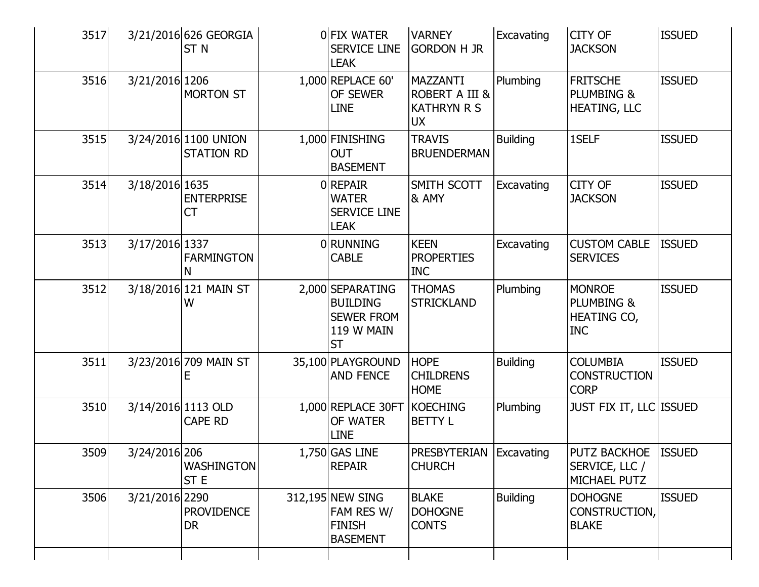| 3517 |                | 3/21/2016 626 GEORGIA<br>ST <sub>N</sub>  | OFIX WATER<br><b>SERVICE LINE</b><br><b>LEAK</b>                                    | <b>VARNEY</b><br><b>GORDON H JR</b>                           | Excavating      | <b>CITY OF</b><br><b>JACKSON</b>                                | <b>ISSUED</b> |
|------|----------------|-------------------------------------------|-------------------------------------------------------------------------------------|---------------------------------------------------------------|-----------------|-----------------------------------------------------------------|---------------|
| 3516 | 3/21/2016 1206 | <b>MORTON ST</b>                          | 1,000 REPLACE 60'<br>OF SEWER<br><b>LINE</b>                                        | MAZZANTI<br>ROBERT A III &<br><b>KATHRYN R S</b><br><b>UX</b> | Plumbing        | <b>FRITSCHE</b><br><b>PLUMBING &amp;</b><br><b>HEATING, LLC</b> | <b>ISSUED</b> |
| 3515 |                | 3/24/2016 1100 UNION<br><b>STATION RD</b> | 1,000 FINISHING<br><b>OUT</b><br><b>BASEMENT</b>                                    | <b>TRAVIS</b><br><b>BRUENDERMAN</b>                           | <b>Building</b> | 1SELF                                                           | <b>ISSUED</b> |
| 3514 | 3/18/2016 1635 | <b>ENTERPRISE</b><br>СT                   | 0 REPAIR<br><b>WATER</b><br><b>SERVICE LINE</b><br><b>LEAK</b>                      | SMITH SCOTT<br>& AMY                                          | Excavating      | <b>CITY OF</b><br><b>JACKSON</b>                                | <b>ISSUED</b> |
| 3513 | 3/17/2016 1337 | <b>FARMINGTON</b><br>N                    | 0 RUNNING<br><b>CABLE</b>                                                           | <b>KEEN</b><br><b>PROPERTIES</b><br><b>INC</b>                | Excavating      | <b>CUSTOM CABLE</b><br><b>SERVICES</b>                          | <b>ISSUED</b> |
| 3512 |                | 3/18/2016 121 MAIN ST<br>W                | 2,000 SEPARATING<br><b>BUILDING</b><br><b>SEWER FROM</b><br>119 W MAIN<br><b>ST</b> | <b>THOMAS</b><br><b>STRICKLAND</b>                            | Plumbing        | <b>MONROE</b><br>PLUMBING &<br>HEATING CO,<br><b>INC</b>        | <b>ISSUED</b> |
| 3511 |                | 3/23/2016 709 MAIN ST                     | 35,100 PLAYGROUND<br><b>AND FENCE</b>                                               | <b>HOPE</b><br><b>CHILDRENS</b><br><b>HOME</b>                | <b>Building</b> | <b>COLUMBIA</b><br><b>CONSTRUCTION</b><br><b>CORP</b>           | <b>ISSUED</b> |
| 3510 |                | 3/14/2016 1113 OLD<br><b>CAPE RD</b>      | 1,000 REPLACE 30FT<br>OF WATER<br><b>LINE</b>                                       | <b>KOECHING</b><br><b>BETTY L</b>                             | Plumbing        | <b>JUST FIX IT, LLC ISSUED</b>                                  |               |
| 3509 | 3/24/2016 206  | <b>WASHINGTON</b><br>ST <sub>E</sub>      | 1,750 GAS LINE<br><b>REPAIR</b>                                                     | <b>PRESBYTERIAN Excavating</b><br><b>CHURCH</b>               |                 | PUTZ BACKHOE ISSUED<br>SERVICE, LLC /<br>MICHAEL PUTZ           |               |
| 3506 | 3/21/2016 2290 | <b>PROVIDENCE</b><br><b>DR</b>            | 312,195 NEW SING<br>FAM RES W/<br><b>FINISH</b><br><b>BASEMENT</b>                  | <b>BLAKE</b><br><b>DOHOGNE</b><br><b>CONTS</b>                | <b>Building</b> | <b>DOHOGNE</b><br>CONSTRUCTION,<br><b>BLAKE</b>                 | <b>ISSUED</b> |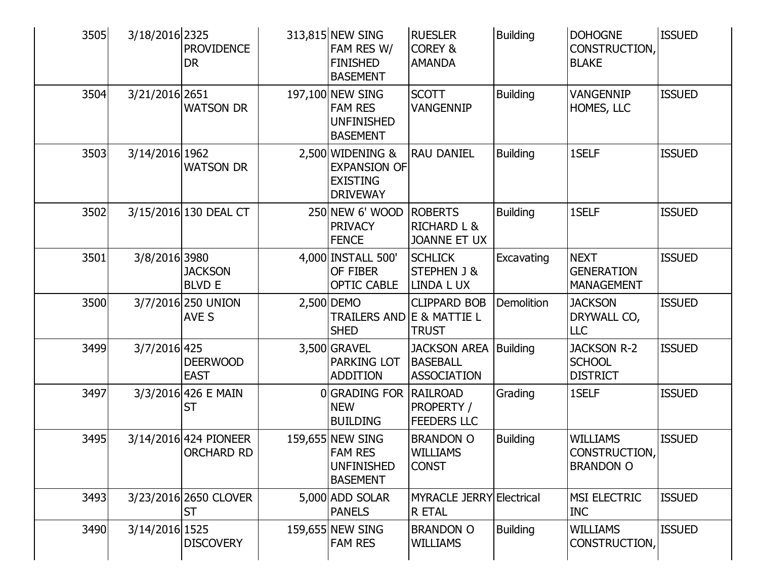| 3505 | 3/18/2016 2325 | <b>PROVIDENCE</b><br><b>DR</b>             | 313,815 NEW SING<br>FAM RES W/<br><b>FINISHED</b><br><b>BASEMENT</b>          | <b>RUESLER</b><br><b>COREY &amp;</b><br><b>AMANDA</b>           | <b>Building</b>   | <b>DOHOGNE</b><br>CONSTRUCTION,<br><b>BLAKE</b>            | <b>ISSUED</b> |
|------|----------------|--------------------------------------------|-------------------------------------------------------------------------------|-----------------------------------------------------------------|-------------------|------------------------------------------------------------|---------------|
| 3504 | 3/21/2016 2651 | <b>WATSON DR</b>                           | 197,100 NEW SING<br><b>FAM RES</b><br><b>UNFINISHED</b><br><b>BASEMENT</b>    | <b>SCOTT</b><br><b>VANGENNIP</b>                                | <b>Building</b>   | <b>VANGENNIP</b><br>HOMES, LLC                             | <b>ISSUED</b> |
| 3503 | 3/14/2016 1962 | <b>WATSON DR</b>                           | 2,500 WIDENING &<br><b>EXPANSION OF</b><br><b>EXISTING</b><br><b>DRIVEWAY</b> | <b>RAU DANIEL</b>                                               | <b>Building</b>   | 1SELF                                                      | <b>ISSUED</b> |
| 3502 |                | 3/15/2016 130 DEAL CT                      | 250 NEW 6' WOOD<br><b>PRIVACY</b><br><b>FENCE</b>                             | <b>ROBERTS</b><br><b>RICHARD L &amp;</b><br><b>JOANNE ET UX</b> | <b>Building</b>   | 1SELF                                                      | <b>ISSUED</b> |
| 3501 | 3/8/2016 3980  | <b>JACKSON</b><br><b>BLVD E</b>            | 4,000 INSTALL 500'<br>OF FIBER<br><b>OPTIC CABLE</b>                          | <b>SCHLICK</b><br><b>STEPHEN J &amp;</b><br><b>LINDA L UX</b>   | Excavating        | <b>NEXT</b><br><b>GENERATION</b><br><b>MANAGEMENT</b>      | <b>ISSUED</b> |
| 3500 |                | 3/7/2016 250 UNION<br><b>AVE S</b>         | 2,500 DEMO<br>TRAILERS AND E & MATTIE L<br><b>SHED</b>                        | <b>CLIPPARD BOB</b><br><b>TRUST</b>                             | <b>Demolition</b> | <b>JACKSON</b><br>DRYWALL CO,<br><b>LLC</b>                | <b>ISSUED</b> |
| 3499 | 3/7/2016 425   | <b>DEERWOOD</b><br><b>EAST</b>             | 3,500 GRAVEL<br><b>PARKING LOT</b><br><b>ADDITION</b>                         | <b>JACKSON AREA</b><br><b>BASEBALL</b><br><b>ASSOCIATION</b>    | <b>Building</b>   | <b>JACKSON R-2</b><br><b>SCHOOL</b><br><b>DISTRICT</b>     | <b>ISSUED</b> |
| 3497 |                | 3/3/2016 426 E MAIN<br><b>ST</b>           | 0 GRADING FOR<br><b>NEW</b><br><b>BUILDING</b>                                | <b>RAILROAD</b><br>PROPERTY /<br><b>FEEDERS LLC</b>             | Grading           | 1SELF                                                      | <b>ISSUED</b> |
| 3495 |                | 3/14/2016 424 PIONEER<br><b>ORCHARD RD</b> | 159,655 NEW SING<br><b>FAM RES</b><br><b>UNFINISHED</b><br><b>BASEMENT</b>    | <b>BRANDON O</b><br><b>WILLIAMS</b><br><b>CONST</b>             | <b>Building</b>   | <b>WILLIAMS</b><br><b>CONSTRUCTION</b><br><b>BRANDON O</b> | <b>ISSUED</b> |
| 3493 |                | 3/23/2016 2650 CLOVER<br>IST               | 5,000 ADD SOLAR<br><b>PANELS</b>                                              | <b>MYRACLE JERRY Electrical</b><br>R ETAL                       |                   | <b>MSI ELECTRIC</b><br><b>INC</b>                          | <b>ISSUED</b> |
| 3490 | 3/14/2016 1525 | <b>DISCOVERY</b>                           | 159,655 NEW SING<br><b>FAM RES</b>                                            | <b>BRANDON O</b><br><b>WILLIAMS</b>                             | <b>Building</b>   | <b>WILLIAMS</b><br>CONSTRUCTION,                           | <b>ISSUED</b> |